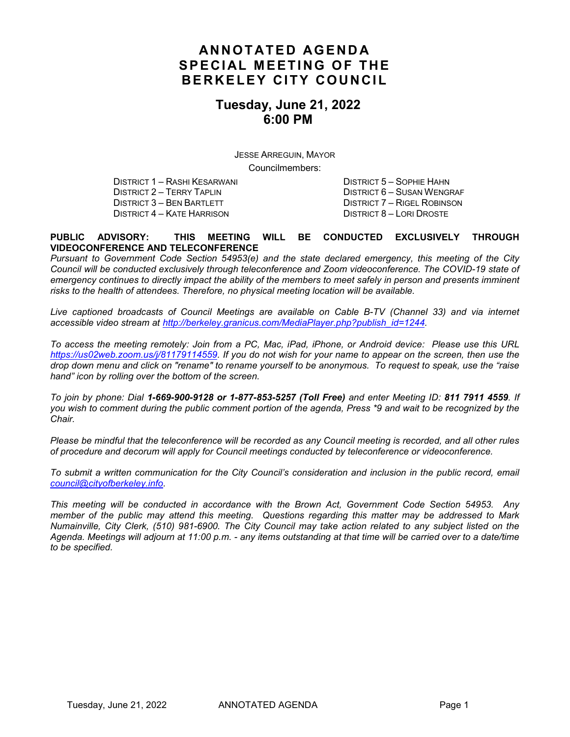## **ANNOTATED AGENDA SPECIAL MEETING OF THE BERKELEY CITY COUNCIL**

## **Tuesday, June 21, 2022 6:00 PM**

JESSE ARREGUIN, MAYOR Councilmembers:

DISTRICT 1 – RASHI KESARWANI DISTRICT 5 – SOPHIE HAHN DISTRICT 2 – TERRY TAPLIN DISTRICT 6 – SUSAN WENGRAF DISTRICT 6 – SUSAN WENGRAF DISTRICT 7 – RIGEL ROBINSON DISTRICT 3 – BEN BARTLETT DISTRICT 4 – KATE HARRISON DISTRICT 8 – LORI DROSTE

#### **PUBLIC ADVISORY: THIS MEETING WILL BE CONDUCTED EXCLUSIVELY THROUGH VIDEOCONFERENCE AND TELECONFERENCE**

*Pursuant to Government Code Section 54953(e) and the state declared emergency, this meeting of the City Council will be conducted exclusively through teleconference and Zoom videoconference. The COVID-19 state of emergency continues to directly impact the ability of the members to meet safely in person and presents imminent risks to the health of attendees. Therefore, no physical meeting location will be available.*

*Live captioned broadcasts of Council Meetings are available on Cable B-TV (Channel 33) and via internet accessible video stream at [http://berkeley.granicus.com/MediaPlayer.php?publish\\_id=1244.](http://berkeley.granicus.com/MediaPlayer.php?publish_id=1244)* 

*To access the meeting remotely: Join from a PC, Mac, iPad, iPhone, or Android device: Please use this URL [https://us02web.zoom.us/j/81179114559.](https://us02web.zoom.us/j/81179114559) If you do not wish for your name to appear on the screen, then use the drop down menu and click on "rename" to rename yourself to be anonymous. To request to speak, use the "raise hand" icon by rolling over the bottom of the screen.* 

*To join by phone: Dial 1-669-900-9128 or 1-877-853-5257 (Toll Free) and enter Meeting ID: 811 7911 4559. If you wish to comment during the public comment portion of the agenda, Press \*9 and wait to be recognized by the Chair.* 

*Please be mindful that the teleconference will be recorded as any Council meeting is recorded, and all other rules of procedure and decorum will apply for Council meetings conducted by teleconference or videoconference.*

*To submit a written communication for the City Council's consideration and inclusion in the public record, email [council@cityofberkeley.info.](mailto:council@cityofberkeley.info)* 

*This meeting will be conducted in accordance with the Brown Act, Government Code Section 54953. Any member of the public may attend this meeting. Questions regarding this matter may be addressed to Mark Numainville, City Clerk, (510) 981-6900. The City Council may take action related to any subject listed on the Agenda. Meetings will adjourn at 11:00 p.m. - any items outstanding at that time will be carried over to a date/time to be specified.*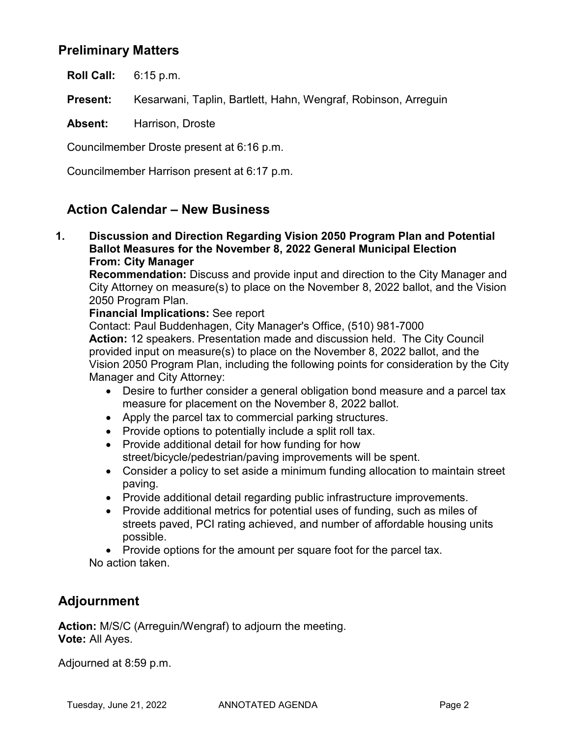## **Preliminary Matters**

**Roll Call:** 6:15 p.m.

**Present:** Kesarwani, Taplin, Bartlett, Hahn, Wengraf, Robinson, Arreguin

**Absent:** Harrison, Droste

Councilmember Droste present at 6:16 p.m.

Councilmember Harrison present at 6:17 p.m.

## **Action Calendar – New Business**

**1. Discussion and Direction Regarding Vision 2050 Program Plan and Potential Ballot Measures for the November 8, 2022 General Municipal Election From: City Manager**

**Recommendation:** Discuss and provide input and direction to the City Manager and City Attorney on measure(s) to place on the November 8, 2022 ballot, and the Vision 2050 Program Plan.

### **Financial Implications:** See report

Contact: Paul Buddenhagen, City Manager's Office, (510) 981-7000 **Action:** 12 speakers. Presentation made and discussion held. The City Council provided input on measure(s) to place on the November 8, 2022 ballot, and the Vision 2050 Program Plan, including the following points for consideration by the City Manager and City Attorney:

- Desire to further consider a general obligation bond measure and a parcel tax measure for placement on the November 8, 2022 ballot.
- Apply the parcel tax to commercial parking structures.
- Provide options to potentially include a split roll tax.
- Provide additional detail for how funding for how street/bicycle/pedestrian/paving improvements will be spent.
- Consider a policy to set aside a minimum funding allocation to maintain street paving.
- Provide additional detail regarding public infrastructure improvements.
- Provide additional metrics for potential uses of funding, such as miles of streets paved, PCI rating achieved, and number of affordable housing units possible.

• Provide options for the amount per square foot for the parcel tax.

No action taken.

# **Adjournment**

**Action:** M/S/C (Arreguin/Wengraf) to adjourn the meeting. **Vote:** All Ayes.

Adjourned at 8:59 p.m.